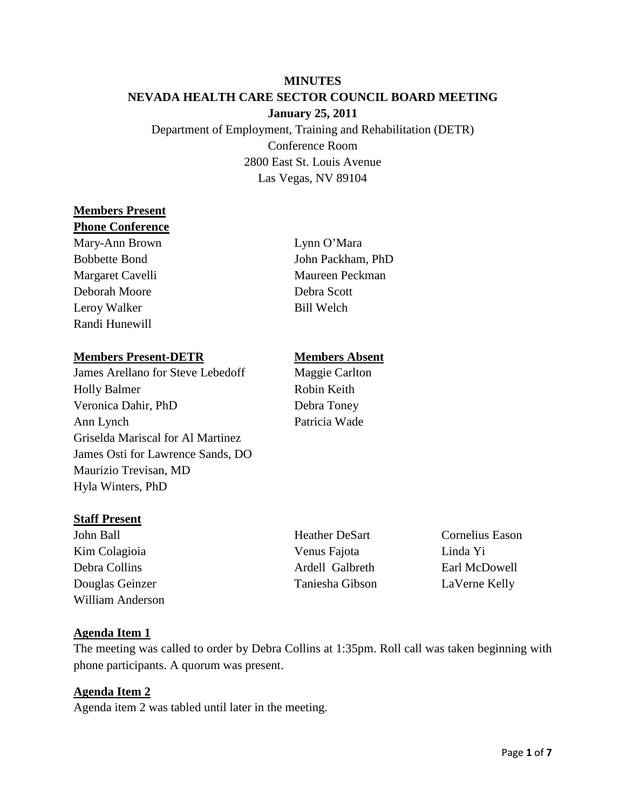## **MINUTES NEVADA HEALTH CARE SECTOR COUNCIL BOARD MEETING January 25, 2011**

Department of Employment, Training and Rehabilitation (DETR) Conference Room 2800 East St. Louis Avenue Las Vegas, NV 89104

# **Members Present**

#### **Phone Conference**

Mary-Ann Brown Lynn O'Mara Bobbette Bond John Packham, PhD Margaret Cavelli Maureen Peckman Deborah Moore Debra Scott Leroy Walker Bill Welch Randi Hunewill

#### **Members Present-DETR Members Absent**

James Arellano for Steve Lebedoff Maggie Carlton Holly Balmer Robin Keith Veronica Dahir, PhD Debra Toney Ann Lynch Patricia Wade Griselda Mariscal for Al Martinez James Osti for Lawrence Sands, DO Maurizio Trevisan, MD Hyla Winters, PhD

## **Staff Present**

John Ball Heather DeSart Cornelius Eason Kim Colagioia Venus Fajota Linda Yi Debra Collins Ardell Galbreth Earl McDowell Douglas Geinzer Taniesha Gibson LaVerne Kelly William Anderson

## **Agenda Item 1**

The meeting was called to order by Debra Collins at 1:35pm. Roll call was taken beginning with phone participants. A quorum was present.

## **Agenda Item 2**

Agenda item 2 was tabled until later in the meeting.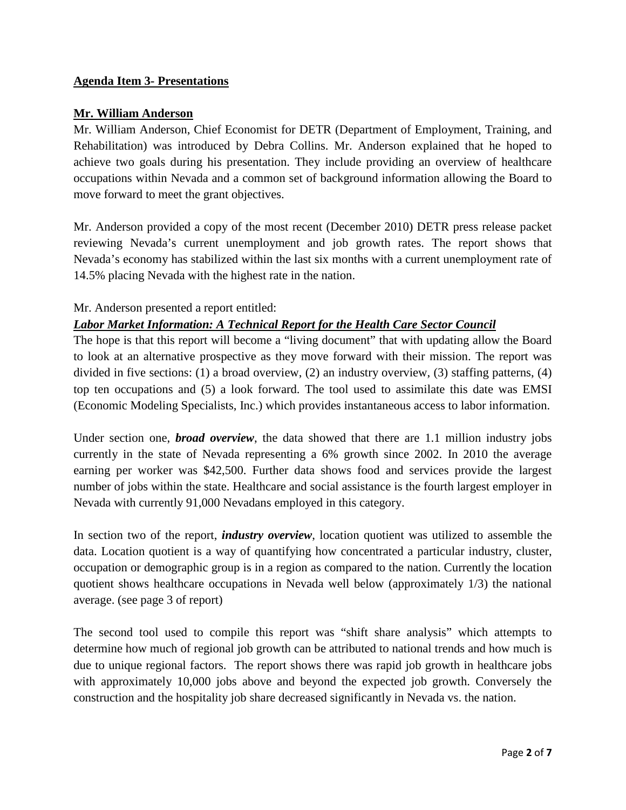## **Agenda Item 3- Presentations**

#### **Mr. William Anderson**

Mr. William Anderson, Chief Economist for DETR (Department of Employment, Training, and Rehabilitation) was introduced by Debra Collins. Mr. Anderson explained that he hoped to achieve two goals during his presentation. They include providing an overview of healthcare occupations within Nevada and a common set of background information allowing the Board to move forward to meet the grant objectives.

Mr. Anderson provided a copy of the most recent (December 2010) DETR press release packet reviewing Nevada's current unemployment and job growth rates. The report shows that Nevada's economy has stabilized within the last six months with a current unemployment rate of 14.5% placing Nevada with the highest rate in the nation.

#### Mr. Anderson presented a report entitled:

## *Labor Market Information: A Technical Report for the Health Care Sector Council*

The hope is that this report will become a "living document" that with updating allow the Board to look at an alternative prospective as they move forward with their mission. The report was divided in five sections: (1) a broad overview, (2) an industry overview, (3) staffing patterns, (4) top ten occupations and (5) a look forward. The tool used to assimilate this date was EMSI (Economic Modeling Specialists, Inc.) which provides instantaneous access to labor information.

Under section one, *broad overview*, the data showed that there are 1.1 million industry jobs currently in the state of Nevada representing a 6% growth since 2002. In 2010 the average earning per worker was \$42,500. Further data shows food and services provide the largest number of jobs within the state. Healthcare and social assistance is the fourth largest employer in Nevada with currently 91,000 Nevadans employed in this category.

In section two of the report, *industry overview*, location quotient was utilized to assemble the data. Location quotient is a way of quantifying how concentrated a particular industry, cluster, occupation or demographic group is in a region as compared to the nation. Currently the location quotient shows healthcare occupations in Nevada well below (approximately 1/3) the national average. (see page 3 of report)

The second tool used to compile this report was "shift share analysis" which attempts to determine how much of regional job growth can be attributed to national trends and how much is due to unique regional factors. The report shows there was rapid job growth in healthcare jobs with approximately 10,000 jobs above and beyond the expected job growth. Conversely the construction and the hospitality job share decreased significantly in Nevada vs. the nation.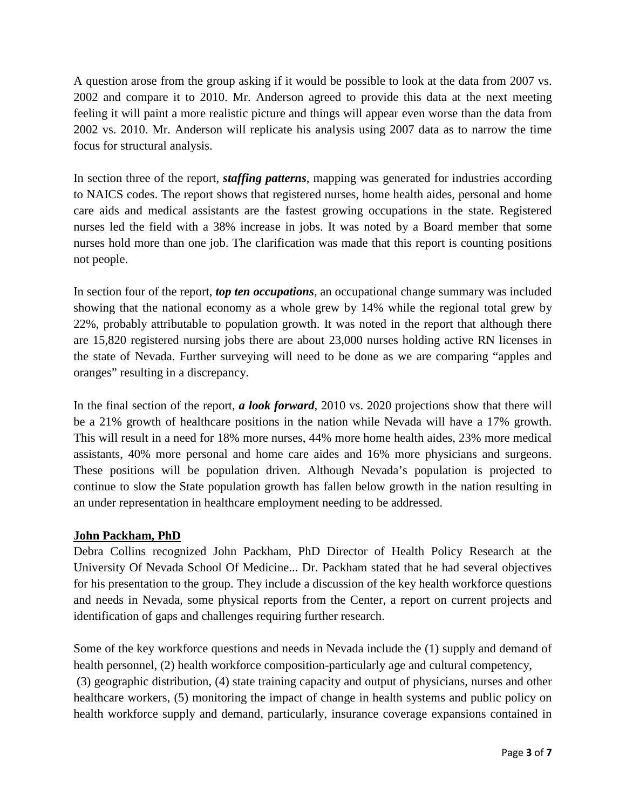A question arose from the group asking if it would be possible to look at the data from 2007 vs. 2002 and compare it to 2010. Mr. Anderson agreed to provide this data at the next meeting feeling it will paint a more realistic picture and things will appear even worse than the data from 2002 vs. 2010. Mr. Anderson will replicate his analysis using 2007 data as to narrow the time focus for structural analysis.

In section three of the report, *staffing patterns*, mapping was generated for industries according to NAICS codes. The report shows that registered nurses, home health aides, personal and home care aids and medical assistants are the fastest growing occupations in the state. Registered nurses led the field with a 38% increase in jobs. It was noted by a Board member that some nurses hold more than one job. The clarification was made that this report is counting positions not people.

In section four of the report, *top ten occupations*, an occupational change summary was included showing that the national economy as a whole grew by 14% while the regional total grew by 22%, probably attributable to population growth. It was noted in the report that although there are 15,820 registered nursing jobs there are about 23,000 nurses holding active RN licenses in the state of Nevada. Further surveying will need to be done as we are comparing "apples and oranges" resulting in a discrepancy.

In the final section of the report, *a look forward*, 2010 vs. 2020 projections show that there will be a 21% growth of healthcare positions in the nation while Nevada will have a 17% growth. This will result in a need for 18% more nurses, 44% more home health aides, 23% more medical assistants, 40% more personal and home care aides and 16% more physicians and surgeons. These positions will be population driven. Although Nevada's population is projected to continue to slow the State population growth has fallen below growth in the nation resulting in an under representation in healthcare employment needing to be addressed.

## **John Packham, PhD**

Debra Collins recognized John Packham, PhD Director of Health Policy Research at the University Of Nevada School Of Medicine... Dr. Packham stated that he had several objectives for his presentation to the group. They include a discussion of the key health workforce questions and needs in Nevada, some physical reports from the Center, a report on current projects and identification of gaps and challenges requiring further research.

Some of the key workforce questions and needs in Nevada include the (1) supply and demand of health personnel, (2) health workforce composition-particularly age and cultural competency,

(3) geographic distribution, (4) state training capacity and output of physicians, nurses and other healthcare workers, (5) monitoring the impact of change in health systems and public policy on health workforce supply and demand, particularly, insurance coverage expansions contained in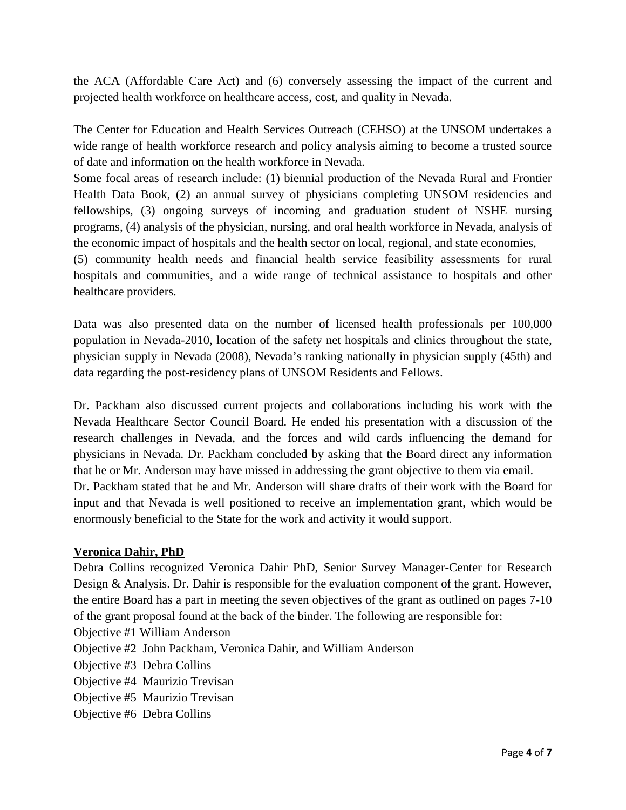the ACA (Affordable Care Act) and (6) conversely assessing the impact of the current and projected health workforce on healthcare access, cost, and quality in Nevada.

The Center for Education and Health Services Outreach (CEHSO) at the UNSOM undertakes a wide range of health workforce research and policy analysis aiming to become a trusted source of date and information on the health workforce in Nevada.

Some focal areas of research include: (1) biennial production of the Nevada Rural and Frontier Health Data Book, (2) an annual survey of physicians completing UNSOM residencies and fellowships, (3) ongoing surveys of incoming and graduation student of NSHE nursing programs, (4) analysis of the physician, nursing, and oral health workforce in Nevada, analysis of the economic impact of hospitals and the health sector on local, regional, and state economies,

(5) community health needs and financial health service feasibility assessments for rural hospitals and communities, and a wide range of technical assistance to hospitals and other healthcare providers.

Data was also presented data on the number of licensed health professionals per 100,000 population in Nevada-2010, location of the safety net hospitals and clinics throughout the state, physician supply in Nevada (2008), Nevada's ranking nationally in physician supply (45th) and data regarding the post-residency plans of UNSOM Residents and Fellows.

Dr. Packham also discussed current projects and collaborations including his work with the Nevada Healthcare Sector Council Board. He ended his presentation with a discussion of the research challenges in Nevada, and the forces and wild cards influencing the demand for physicians in Nevada. Dr. Packham concluded by asking that the Board direct any information that he or Mr. Anderson may have missed in addressing the grant objective to them via email. Dr. Packham stated that he and Mr. Anderson will share drafts of their work with the Board for input and that Nevada is well positioned to receive an implementation grant, which would be enormously beneficial to the State for the work and activity it would support.

#### **Veronica Dahir, PhD**

Debra Collins recognized Veronica Dahir PhD, Senior Survey Manager-Center for Research Design & Analysis. Dr. Dahir is responsible for the evaluation component of the grant. However, the entire Board has a part in meeting the seven objectives of the grant as outlined on pages 7-10 of the grant proposal found at the back of the binder. The following are responsible for:

- Objective #1 William Anderson
- Objective #2 John Packham, Veronica Dahir, and William Anderson
- Objective #3 Debra Collins
- Objective #4 Maurizio Trevisan
- Objective #5 Maurizio Trevisan
- Objective #6 Debra Collins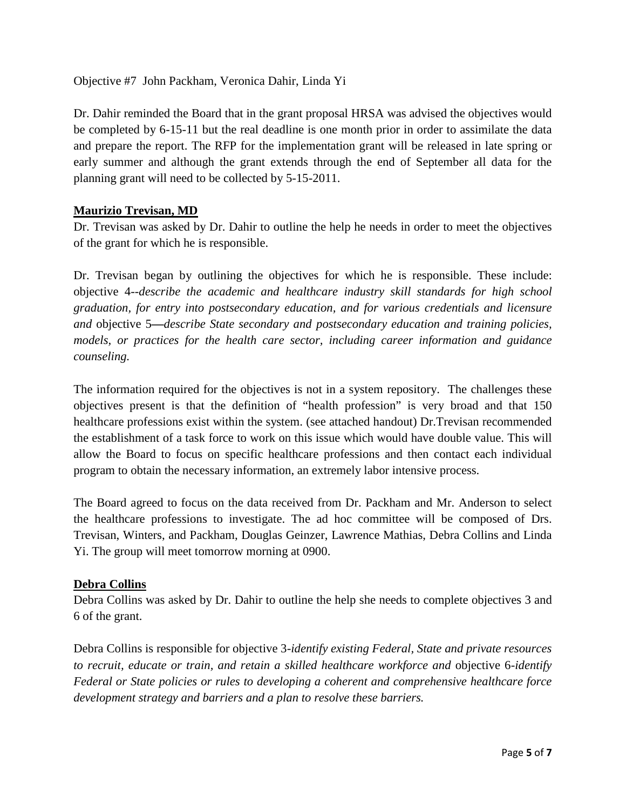Objective #7 John Packham, Veronica Dahir, Linda Yi

Dr. Dahir reminded the Board that in the grant proposal HRSA was advised the objectives would be completed by 6-15-11 but the real deadline is one month prior in order to assimilate the data and prepare the report. The RFP for the implementation grant will be released in late spring or early summer and although the grant extends through the end of September all data for the planning grant will need to be collected by 5-15-2011.

#### **Maurizio Trevisan, MD**

Dr. Trevisan was asked by Dr. Dahir to outline the help he needs in order to meet the objectives of the grant for which he is responsible.

Dr. Trevisan began by outlining the objectives for which he is responsible. These include: objective 4--*describe the academic and healthcare industry skill standards for high school graduation, for entry into postsecondary education, and for various credentials and licensure and* objective 5**—***describe State secondary and postsecondary education and training policies, models, or practices for the health care sector, including career information and guidance counseling.*

The information required for the objectives is not in a system repository. The challenges these objectives present is that the definition of "health profession" is very broad and that 150 healthcare professions exist within the system. (see attached handout) Dr.Trevisan recommended the establishment of a task force to work on this issue which would have double value. This will allow the Board to focus on specific healthcare professions and then contact each individual program to obtain the necessary information, an extremely labor intensive process.

The Board agreed to focus on the data received from Dr. Packham and Mr. Anderson to select the healthcare professions to investigate. The ad hoc committee will be composed of Drs. Trevisan, Winters, and Packham, Douglas Geinzer, Lawrence Mathias, Debra Collins and Linda Yi. The group will meet tomorrow morning at 0900.

#### **Debra Collins**

Debra Collins was asked by Dr. Dahir to outline the help she needs to complete objectives 3 and 6 of the grant.

Debra Collins is responsible for objective 3*-identify existing Federal, State and private resources to recruit, educate or train, and retain a skilled healthcare workforce and* objective 6-*identify Federal or State policies or rules to developing a coherent and comprehensive healthcare force development strategy and barriers and a plan to resolve these barriers.*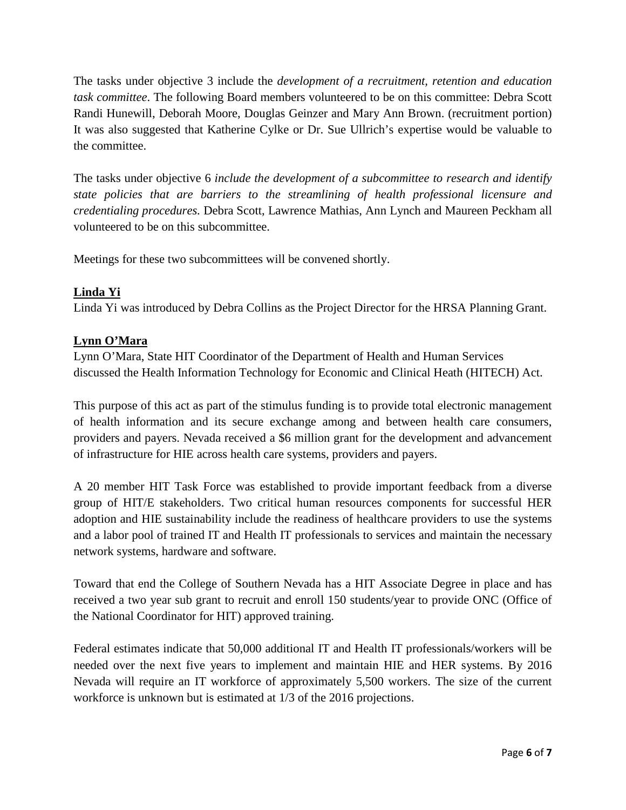The tasks under objective 3 include the *development of a recruitment, retention and education task committee*. The following Board members volunteered to be on this committee: Debra Scott Randi Hunewill, Deborah Moore, Douglas Geinzer and Mary Ann Brown. (recruitment portion) It was also suggested that Katherine Cylke or Dr. Sue Ullrich's expertise would be valuable to the committee.

The tasks under objective 6 *include the development of a subcommittee to research and identify state policies that are barriers to the streamlining of health professional licensure and credentialing procedures.* Debra Scott, Lawrence Mathias, Ann Lynch and Maureen Peckham all volunteered to be on this subcommittee.

Meetings for these two subcommittees will be convened shortly.

## **Linda Yi**

Linda Yi was introduced by Debra Collins as the Project Director for the HRSA Planning Grant.

## **Lynn O'Mara**

Lynn O'Mara, State HIT Coordinator of the Department of Health and Human Services discussed the Health Information Technology for Economic and Clinical Heath (HITECH) Act.

This purpose of this act as part of the stimulus funding is to provide total electronic management of health information and its secure exchange among and between health care consumers, providers and payers. Nevada received a \$6 million grant for the development and advancement of infrastructure for HIE across health care systems, providers and payers.

A 20 member HIT Task Force was established to provide important feedback from a diverse group of HIT/E stakeholders. Two critical human resources components for successful HER adoption and HIE sustainability include the readiness of healthcare providers to use the systems and a labor pool of trained IT and Health IT professionals to services and maintain the necessary network systems, hardware and software.

Toward that end the College of Southern Nevada has a HIT Associate Degree in place and has received a two year sub grant to recruit and enroll 150 students/year to provide ONC (Office of the National Coordinator for HIT) approved training.

Federal estimates indicate that 50,000 additional IT and Health IT professionals/workers will be needed over the next five years to implement and maintain HIE and HER systems. By 2016 Nevada will require an IT workforce of approximately 5,500 workers. The size of the current workforce is unknown but is estimated at 1/3 of the 2016 projections.